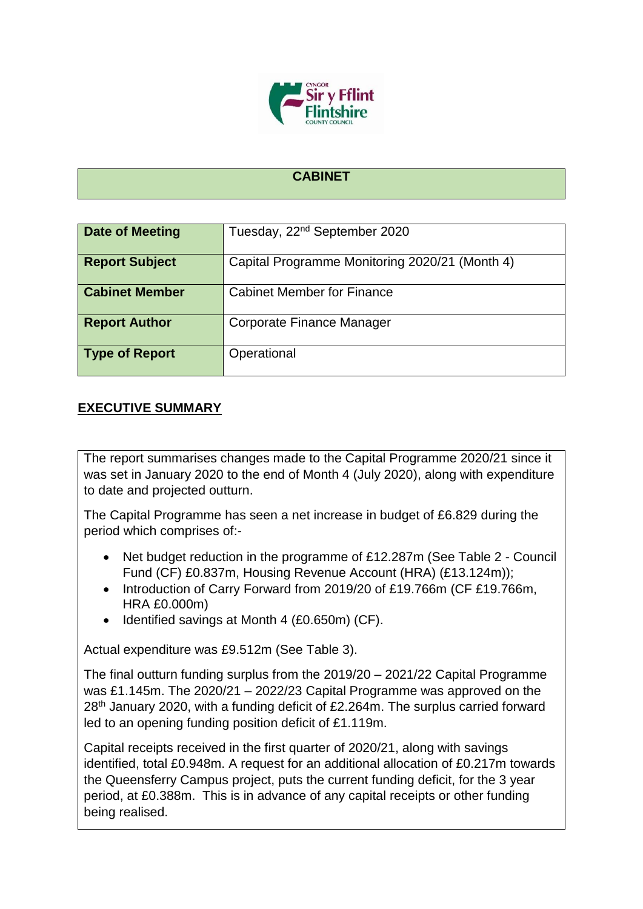

## **CABINET**

| <b>Date of Meeting</b> | Tuesday, 22 <sup>nd</sup> September 2020       |
|------------------------|------------------------------------------------|
|                        |                                                |
| <b>Report Subject</b>  | Capital Programme Monitoring 2020/21 (Month 4) |
| <b>Cabinet Member</b>  | <b>Cabinet Member for Finance</b>              |
| <b>Report Author</b>   | Corporate Finance Manager                      |
| <b>Type of Report</b>  | Operational                                    |

## **EXECUTIVE SUMMARY**

The report summarises changes made to the Capital Programme 2020/21 since it was set in January 2020 to the end of Month 4 (July 2020), along with expenditure to date and projected outturn.

The Capital Programme has seen a net increase in budget of £6.829 during the period which comprises of:-

- Net budget reduction in the programme of £12.287m (See Table 2 Council Fund (CF) £0.837m, Housing Revenue Account (HRA) (£13.124m));
- Introduction of Carry Forward from 2019/20 of £19.766m (CF £19.766m, HRA £0.000m)
- Identified savings at Month 4 (£0.650m) (CF).

Actual expenditure was £9.512m (See Table 3).

The final outturn funding surplus from the 2019/20 – 2021/22 Capital Programme was £1.145m. The 2020/21 – 2022/23 Capital Programme was approved on the 28<sup>th</sup> January 2020, with a funding deficit of £2.264m. The surplus carried forward led to an opening funding position deficit of £1.119m.

Capital receipts received in the first quarter of 2020/21, along with savings identified, total £0.948m. A request for an additional allocation of £0.217m towards the Queensferry Campus project, puts the current funding deficit, for the 3 year period, at £0.388m. This is in advance of any capital receipts or other funding being realised.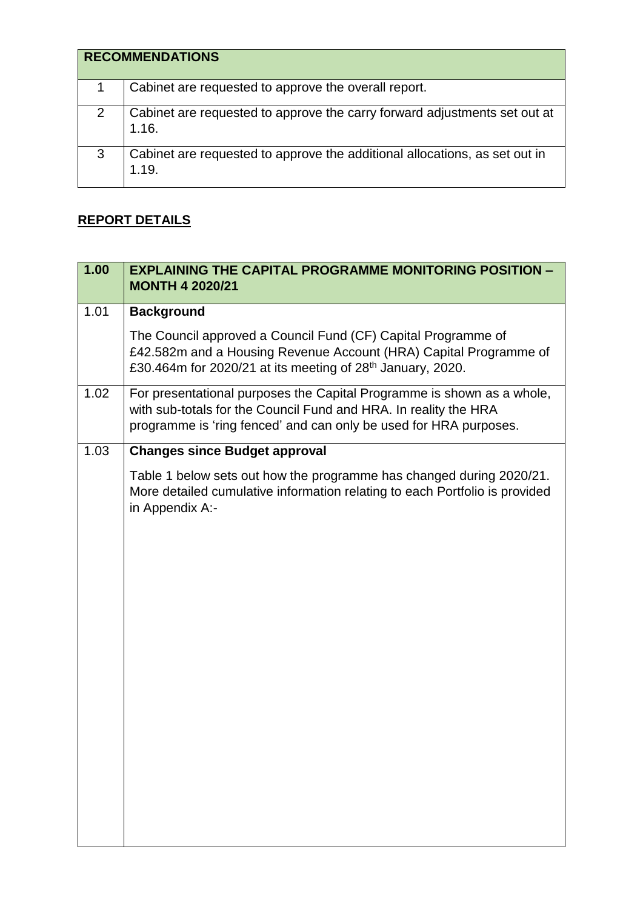|   | <b>RECOMMENDATIONS</b>                                                              |
|---|-------------------------------------------------------------------------------------|
|   | Cabinet are requested to approve the overall report.                                |
| 2 | Cabinet are requested to approve the carry forward adjustments set out at<br>1.16.  |
| 3 | Cabinet are requested to approve the additional allocations, as set out in<br>1.19. |

## **REPORT DETAILS**

| 1.00 | <b>EXPLAINING THE CAPITAL PROGRAMME MONITORING POSITION -</b><br><b>MONTH 4 2020/21</b>                                                                                                                         |
|------|-----------------------------------------------------------------------------------------------------------------------------------------------------------------------------------------------------------------|
| 1.01 | <b>Background</b>                                                                                                                                                                                               |
|      | The Council approved a Council Fund (CF) Capital Programme of<br>£42.582m and a Housing Revenue Account (HRA) Capital Programme of<br>£30.464m for 2020/21 at its meeting of 28 <sup>th</sup> January, 2020.    |
| 1.02 | For presentational purposes the Capital Programme is shown as a whole,<br>with sub-totals for the Council Fund and HRA. In reality the HRA<br>programme is 'ring fenced' and can only be used for HRA purposes. |
| 1.03 | <b>Changes since Budget approval</b>                                                                                                                                                                            |
|      | Table 1 below sets out how the programme has changed during 2020/21.<br>More detailed cumulative information relating to each Portfolio is provided<br>in Appendix A:-                                          |
|      |                                                                                                                                                                                                                 |
|      |                                                                                                                                                                                                                 |
|      |                                                                                                                                                                                                                 |
|      |                                                                                                                                                                                                                 |
|      |                                                                                                                                                                                                                 |
|      |                                                                                                                                                                                                                 |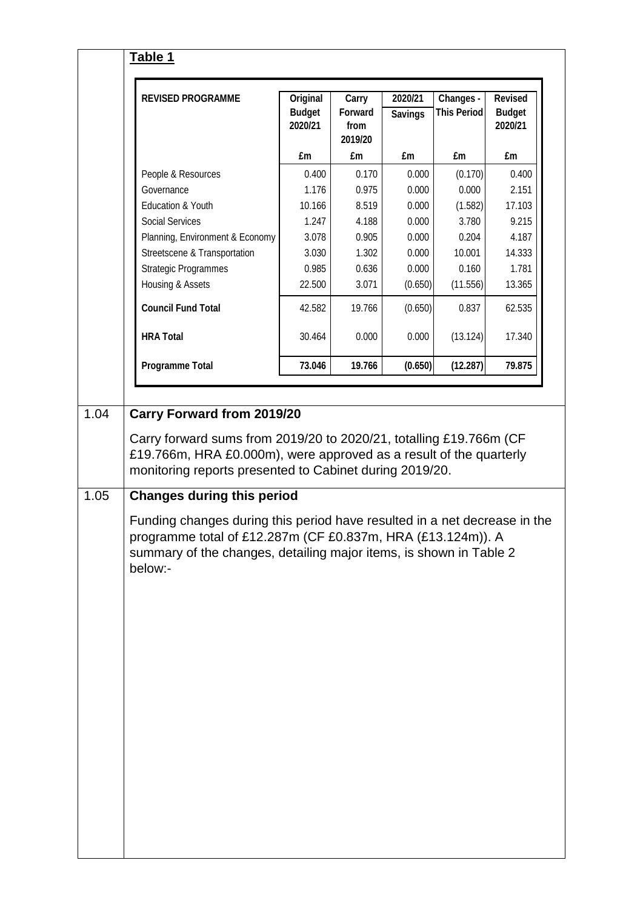|                                                                 | <b>REVISED PROGRAMME</b>                                                                                                                 | Original<br><b>Budget</b><br>2020/21 | Carry<br><b>Forward</b><br>from<br>2019/20 | 2020/21<br><b>Savings</b> | Changes -<br><b>This Period</b> | <b>Revised</b><br><b>Budget</b><br>2020/21 |
|-----------------------------------------------------------------|------------------------------------------------------------------------------------------------------------------------------------------|--------------------------------------|--------------------------------------------|---------------------------|---------------------------------|--------------------------------------------|
|                                                                 |                                                                                                                                          | £m                                   | £m                                         | £m                        | £m                              | £m                                         |
|                                                                 | People & Resources                                                                                                                       | 0.400                                | 0.170                                      | 0.000                     | (0.170)                         | 0.400                                      |
|                                                                 | Governance                                                                                                                               | 1.176                                | 0.975                                      | 0.000                     | 0.000                           | 2.151                                      |
|                                                                 | Education & Youth                                                                                                                        | 10.166                               | 8.519                                      | 0.000                     | (1.582)                         | 17.103                                     |
|                                                                 | <b>Social Services</b>                                                                                                                   | 1.247                                | 4.188                                      | 0.000                     | 3.780                           | 9.215                                      |
|                                                                 | Planning, Environment & Economy                                                                                                          | 3.078                                | 0.905                                      | 0.000                     | 0.204                           | 4.187                                      |
|                                                                 | Streetscene & Transportation                                                                                                             | 3.030                                | 1.302                                      | 0.000                     | 10.001                          | 14.333                                     |
|                                                                 | <b>Strategic Programmes</b>                                                                                                              | 0.985                                | 0.636                                      | 0.000                     | 0.160                           | 1.781                                      |
|                                                                 | Housing & Assets                                                                                                                         | 22.500                               | 3.071                                      | (0.650)                   | (11.556)                        | 13.365                                     |
|                                                                 | <b>Council Fund Total</b>                                                                                                                | 42.582                               | 19.766                                     | (0.650)                   | 0.837                           | 62.535                                     |
|                                                                 | <b>HRA Total</b>                                                                                                                         | 30.464                               | 0.000                                      | 0.000                     | (13.124)                        | 17.340                                     |
|                                                                 | <b>Programme Total</b>                                                                                                                   | 73.046                               | 19.766                                     | (0.650)                   | (12.287)                        | 79.875                                     |
| monitoring reports presented to Cabinet during 2019/20.<br>1.05 | <b>Changes during this period</b>                                                                                                        |                                      |                                            |                           |                                 |                                            |
|                                                                 | Funding changes during this period have resulted in a net decrease in the<br>programme total of £12.287m (CF £0.837m, HRA (£13.124m)). A |                                      |                                            |                           |                                 |                                            |
|                                                                 | summary of the changes, detailing major items, is shown in Table 2                                                                       |                                      |                                            |                           |                                 |                                            |
|                                                                 | below:-                                                                                                                                  |                                      |                                            |                           |                                 |                                            |
|                                                                 |                                                                                                                                          |                                      |                                            |                           |                                 |                                            |
|                                                                 |                                                                                                                                          |                                      |                                            |                           |                                 |                                            |
|                                                                 |                                                                                                                                          |                                      |                                            |                           |                                 |                                            |
|                                                                 |                                                                                                                                          |                                      |                                            |                           |                                 |                                            |
|                                                                 |                                                                                                                                          |                                      |                                            |                           |                                 |                                            |
|                                                                 |                                                                                                                                          |                                      |                                            |                           |                                 |                                            |
|                                                                 |                                                                                                                                          |                                      |                                            |                           |                                 |                                            |
|                                                                 |                                                                                                                                          |                                      |                                            |                           |                                 |                                            |
|                                                                 |                                                                                                                                          |                                      |                                            |                           |                                 |                                            |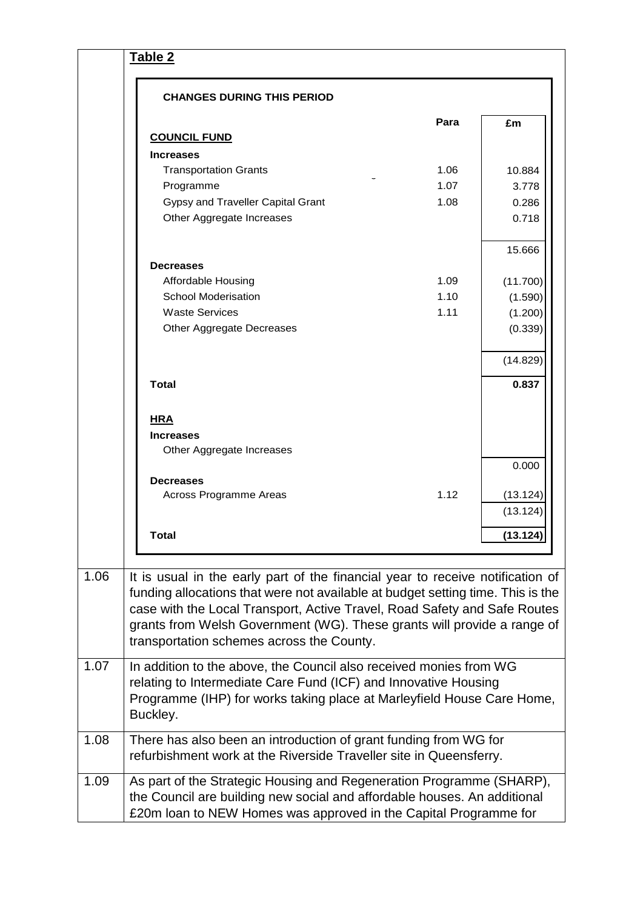|      | <b>CHANGES DURING THIS PERIOD</b>                                                                                                                                                                                                                                                                                                                                      |      |          |
|------|------------------------------------------------------------------------------------------------------------------------------------------------------------------------------------------------------------------------------------------------------------------------------------------------------------------------------------------------------------------------|------|----------|
|      |                                                                                                                                                                                                                                                                                                                                                                        | Para | £m       |
|      | <b>COUNCIL FUND</b>                                                                                                                                                                                                                                                                                                                                                    |      |          |
|      | <b>Increases</b>                                                                                                                                                                                                                                                                                                                                                       |      |          |
|      | <b>Transportation Grants</b>                                                                                                                                                                                                                                                                                                                                           | 1.06 | 10.884   |
|      | Programme                                                                                                                                                                                                                                                                                                                                                              | 1.07 | 3.778    |
|      | Gypsy and Traveller Capital Grant                                                                                                                                                                                                                                                                                                                                      | 1.08 | 0.286    |
|      | Other Aggregate Increases                                                                                                                                                                                                                                                                                                                                              |      | 0.718    |
|      |                                                                                                                                                                                                                                                                                                                                                                        |      | 15.666   |
|      | <b>Decreases</b>                                                                                                                                                                                                                                                                                                                                                       |      |          |
|      | Affordable Housing                                                                                                                                                                                                                                                                                                                                                     | 1.09 | (11.700) |
|      | <b>School Moderisation</b>                                                                                                                                                                                                                                                                                                                                             | 1.10 | (1.590)  |
|      | <b>Waste Services</b>                                                                                                                                                                                                                                                                                                                                                  | 1.11 | (1.200)  |
|      | Other Aggregate Decreases                                                                                                                                                                                                                                                                                                                                              |      | (0.339)  |
|      |                                                                                                                                                                                                                                                                                                                                                                        |      | (14.829) |
|      | <b>Total</b>                                                                                                                                                                                                                                                                                                                                                           |      | 0.837    |
|      | <b>HRA</b>                                                                                                                                                                                                                                                                                                                                                             |      |          |
|      | <b>Increases</b>                                                                                                                                                                                                                                                                                                                                                       |      |          |
|      | Other Aggregate Increases                                                                                                                                                                                                                                                                                                                                              |      |          |
|      | <b>Decreases</b>                                                                                                                                                                                                                                                                                                                                                       |      | 0.000    |
|      | Across Programme Areas                                                                                                                                                                                                                                                                                                                                                 | 1.12 | (13.124) |
|      |                                                                                                                                                                                                                                                                                                                                                                        |      | (13.124) |
|      | <b>Total</b>                                                                                                                                                                                                                                                                                                                                                           |      | (13.124) |
|      |                                                                                                                                                                                                                                                                                                                                                                        |      |          |
| 1.06 | It is usual in the early part of the financial year to receive notification of<br>funding allocations that were not available at budget setting time. This is the<br>case with the Local Transport, Active Travel, Road Safety and Safe Routes<br>grants from Welsh Government (WG). These grants will provide a range of<br>transportation schemes across the County. |      |          |
| 1.07 | In addition to the above, the Council also received monies from WG<br>relating to Intermediate Care Fund (ICF) and Innovative Housing<br>Programme (IHP) for works taking place at Marleyfield House Care Home,<br>Buckley.                                                                                                                                            |      |          |
| 1.08 | There has also been an introduction of grant funding from WG for<br>refurbishment work at the Riverside Traveller site in Queensferry.                                                                                                                                                                                                                                 |      |          |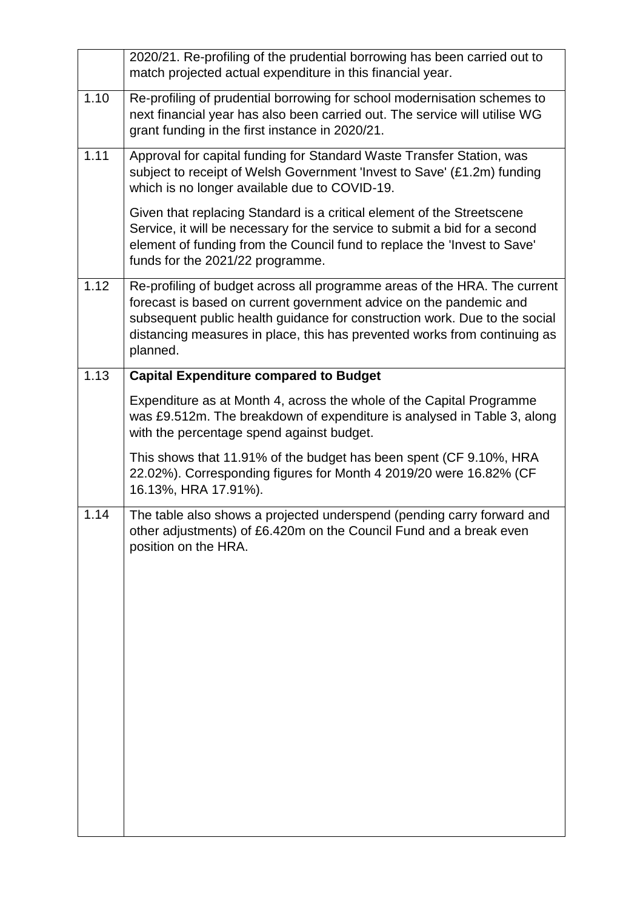|      | 2020/21. Re-profiling of the prudential borrowing has been carried out to<br>match projected actual expenditure in this financial year.                                                                                                                                                                                |
|------|------------------------------------------------------------------------------------------------------------------------------------------------------------------------------------------------------------------------------------------------------------------------------------------------------------------------|
| 1.10 | Re-profiling of prudential borrowing for school modernisation schemes to<br>next financial year has also been carried out. The service will utilise WG<br>grant funding in the first instance in 2020/21.                                                                                                              |
| 1.11 | Approval for capital funding for Standard Waste Transfer Station, was<br>subject to receipt of Welsh Government 'Invest to Save' (£1.2m) funding<br>which is no longer available due to COVID-19.                                                                                                                      |
|      | Given that replacing Standard is a critical element of the Streetscene<br>Service, it will be necessary for the service to submit a bid for a second<br>element of funding from the Council fund to replace the 'Invest to Save'<br>funds for the 2021/22 programme.                                                   |
| 1.12 | Re-profiling of budget across all programme areas of the HRA. The current<br>forecast is based on current government advice on the pandemic and<br>subsequent public health guidance for construction work. Due to the social<br>distancing measures in place, this has prevented works from continuing as<br>planned. |
| 1.13 | <b>Capital Expenditure compared to Budget</b>                                                                                                                                                                                                                                                                          |
|      | Expenditure as at Month 4, across the whole of the Capital Programme<br>was £9.512m. The breakdown of expenditure is analysed in Table 3, along<br>with the percentage spend against budget.                                                                                                                           |
|      | This shows that 11.91% of the budget has been spent (CF 9.10%, HRA<br>22.02%). Corresponding figures for Month 4 2019/20 were 16.82% (CF<br>16.13%, HRA 17.91%).                                                                                                                                                       |
| 1.14 | The table also shows a projected underspend (pending carry forward and<br>other adjustments) of £6.420m on the Council Fund and a break even<br>position on the HRA.                                                                                                                                                   |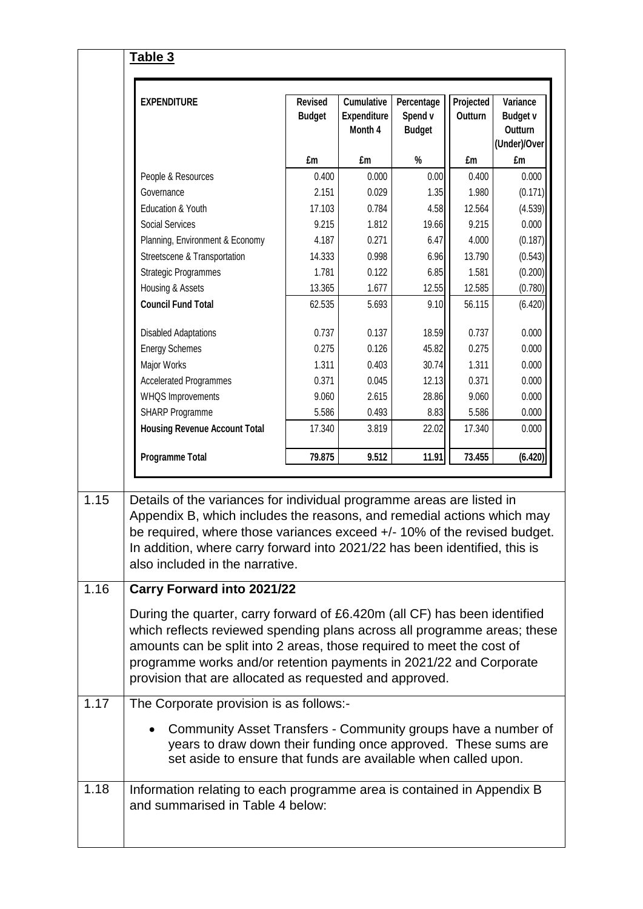| <b>EXPENDITURE</b>                                                                                                                                                                                                                                                                                                                                                                | <b>Revised</b><br><b>Budget</b> | <b>Cumulative</b><br><b>Expenditure</b><br>Month 4 | Percentage<br>Spend v<br><b>Budget</b>                        | Projected<br>Outturn | Variance<br><b>Budget v</b><br>Outturn<br>(Under)/Over |
|-----------------------------------------------------------------------------------------------------------------------------------------------------------------------------------------------------------------------------------------------------------------------------------------------------------------------------------------------------------------------------------|---------------------------------|----------------------------------------------------|---------------------------------------------------------------|----------------------|--------------------------------------------------------|
|                                                                                                                                                                                                                                                                                                                                                                                   | £m                              | £m                                                 | $\%$                                                          | £m                   | £m                                                     |
| People & Resources                                                                                                                                                                                                                                                                                                                                                                | 0.400                           | 0.000                                              | 0.00                                                          | 0.400                | 0.000                                                  |
| Governance                                                                                                                                                                                                                                                                                                                                                                        | 2.151                           | 0.029                                              | 1.35                                                          | 1.980                | (0.171)                                                |
| Education & Youth                                                                                                                                                                                                                                                                                                                                                                 | 17.103                          | 0.784                                              | 4.58                                                          | 12.564               | (4.539)                                                |
| <b>Social Services</b>                                                                                                                                                                                                                                                                                                                                                            | 9.215                           | 1.812                                              | 19.66                                                         | 9.215                | 0.000                                                  |
| Planning, Environment & Economy                                                                                                                                                                                                                                                                                                                                                   | 4.187                           | 0.271                                              | 6.47                                                          | 4.000                | (0.187)                                                |
| Streetscene & Transportation                                                                                                                                                                                                                                                                                                                                                      | 14.333                          | 0.998                                              | 6.96                                                          | 13.790               | (0.543)                                                |
| <b>Strategic Programmes</b>                                                                                                                                                                                                                                                                                                                                                       | 1.781                           | 0.122                                              | 6.85                                                          | 1.581                | (0.200)                                                |
| Housing & Assets                                                                                                                                                                                                                                                                                                                                                                  | 13.365                          | 1.677                                              | 12.55                                                         | 12.585               | (0.780)                                                |
| <b>Council Fund Total</b>                                                                                                                                                                                                                                                                                                                                                         | 62.535                          | 5.693                                              | 9.10                                                          | 56.115               | (6.420)                                                |
| <b>Disabled Adaptations</b>                                                                                                                                                                                                                                                                                                                                                       | 0.737                           | 0.137                                              | 18.59                                                         | 0.737                | 0.000                                                  |
| <b>Energy Schemes</b>                                                                                                                                                                                                                                                                                                                                                             | 0.275                           | 0.126                                              | 45.82                                                         | 0.275                | 0.000                                                  |
| Major Works                                                                                                                                                                                                                                                                                                                                                                       | 1.311                           | 0.403                                              | 30.74                                                         | 1.311                | 0.000                                                  |
| <b>Accelerated Programmes</b>                                                                                                                                                                                                                                                                                                                                                     | 0.371                           | 0.045                                              | 12.13                                                         | 0.371                | 0.000                                                  |
| <b>WHQS Improvements</b>                                                                                                                                                                                                                                                                                                                                                          | 9.060                           | 2.615                                              | 28.86                                                         | 9.060                | 0.000                                                  |
| SHARP Programme                                                                                                                                                                                                                                                                                                                                                                   | 5.586                           | 0.493                                              | 8.83                                                          | 5.586                | 0.000                                                  |
| <b>Housing Revenue Account Total</b>                                                                                                                                                                                                                                                                                                                                              | 17.340                          | 3.819                                              | 22.02                                                         | 17.340               | 0.000                                                  |
| <b>Programme Total</b>                                                                                                                                                                                                                                                                                                                                                            | 79.875                          | 9.512                                              | 11.91                                                         | 73.455               | (6.420)                                                |
| Details of the variances for individual programme areas are listed in<br>Appendix B, which includes the reasons, and remedial actions which may<br>be required, where those variances exceed +/- 10% of the revised budget.<br>In addition, where carry forward into 2021/22 has been identified, this is<br>also included in the narrative.<br><b>Carry Forward into 2021/22</b> |                                 |                                                    |                                                               |                      |                                                        |
| During the quarter, carry forward of £6.420m (all CF) has been identified<br>which reflects reviewed spending plans across all programme areas; these<br>amounts can be split into 2 areas, those required to meet the cost of<br>programme works and/or retention payments in 2021/22 and Corporate<br>provision that are allocated as requested and approved.                   |                                 |                                                    |                                                               |                      |                                                        |
| The Corporate provision is as follows:-                                                                                                                                                                                                                                                                                                                                           |                                 |                                                    |                                                               |                      |                                                        |
|                                                                                                                                                                                                                                                                                                                                                                                   |                                 |                                                    | Community Asset Transfers - Community groups have a number of |                      |                                                        |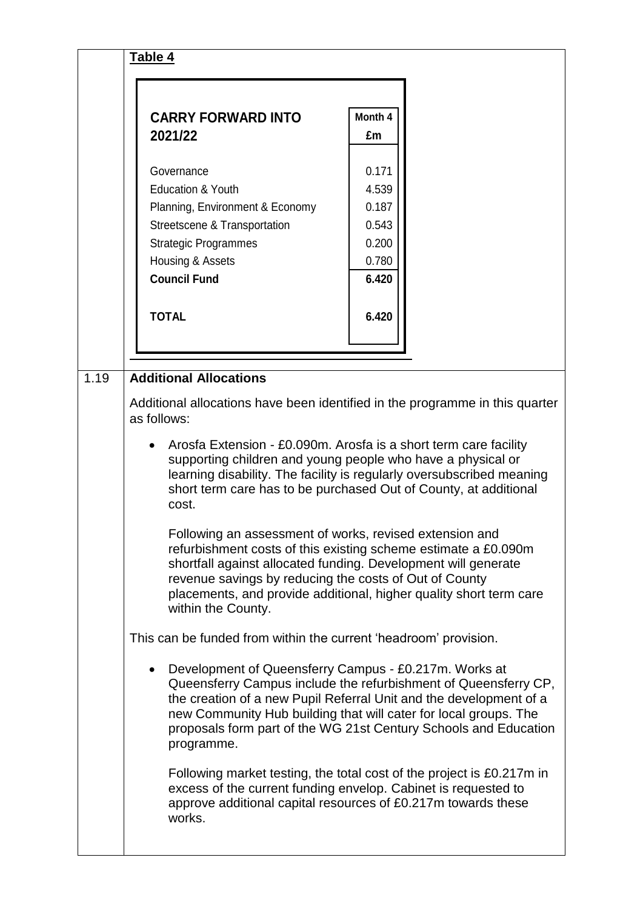|      | Table 4                                                                                                                                                                                                                                                                                                                                                           |         |  |  |
|------|-------------------------------------------------------------------------------------------------------------------------------------------------------------------------------------------------------------------------------------------------------------------------------------------------------------------------------------------------------------------|---------|--|--|
|      |                                                                                                                                                                                                                                                                                                                                                                   |         |  |  |
|      | <b>CARRY FORWARD INTO</b>                                                                                                                                                                                                                                                                                                                                         | Month 4 |  |  |
|      | 2021/22                                                                                                                                                                                                                                                                                                                                                           | £m      |  |  |
|      | Governance                                                                                                                                                                                                                                                                                                                                                        | 0.171   |  |  |
|      | <b>Education &amp; Youth</b>                                                                                                                                                                                                                                                                                                                                      | 4.539   |  |  |
|      | Planning, Environment & Economy                                                                                                                                                                                                                                                                                                                                   | 0.187   |  |  |
|      | Streetscene & Transportation                                                                                                                                                                                                                                                                                                                                      | 0.543   |  |  |
|      | <b>Strategic Programmes</b>                                                                                                                                                                                                                                                                                                                                       | 0.200   |  |  |
|      | Housing & Assets                                                                                                                                                                                                                                                                                                                                                  | 0.780   |  |  |
|      | <b>Council Fund</b>                                                                                                                                                                                                                                                                                                                                               | 6.420   |  |  |
|      | <b>TOTAL</b>                                                                                                                                                                                                                                                                                                                                                      | 6.420   |  |  |
|      |                                                                                                                                                                                                                                                                                                                                                                   |         |  |  |
|      |                                                                                                                                                                                                                                                                                                                                                                   |         |  |  |
| 1.19 | <b>Additional Allocations</b>                                                                                                                                                                                                                                                                                                                                     |         |  |  |
|      |                                                                                                                                                                                                                                                                                                                                                                   |         |  |  |
|      | Additional allocations have been identified in the programme in this quarter<br>as follows:                                                                                                                                                                                                                                                                       |         |  |  |
|      | Arosfa Extension - £0.090m. Arosfa is a short term care facility<br>supporting children and young people who have a physical or<br>learning disability. The facility is regularly oversubscribed meaning<br>short term care has to be purchased Out of County, at additional<br>cost.                                                                             |         |  |  |
|      | Following an assessment of works, revised extension and<br>refurbishment costs of this existing scheme estimate a £0.090m<br>shortfall against allocated funding. Development will generate<br>revenue savings by reducing the costs of Out of County<br>placements, and provide additional, higher quality short term care<br>within the County.                 |         |  |  |
|      | This can be funded from within the current 'headroom' provision.                                                                                                                                                                                                                                                                                                  |         |  |  |
|      | Development of Queensferry Campus - £0.217m. Works at<br>$\bullet$<br>Queensferry Campus include the refurbishment of Queensferry CP,<br>the creation of a new Pupil Referral Unit and the development of a<br>new Community Hub building that will cater for local groups. The<br>proposals form part of the WG 21st Century Schools and Education<br>programme. |         |  |  |
|      | Following market testing, the total cost of the project is £0.217m in<br>excess of the current funding envelop. Cabinet is requested to<br>approve additional capital resources of £0.217m towards these<br>works.                                                                                                                                                |         |  |  |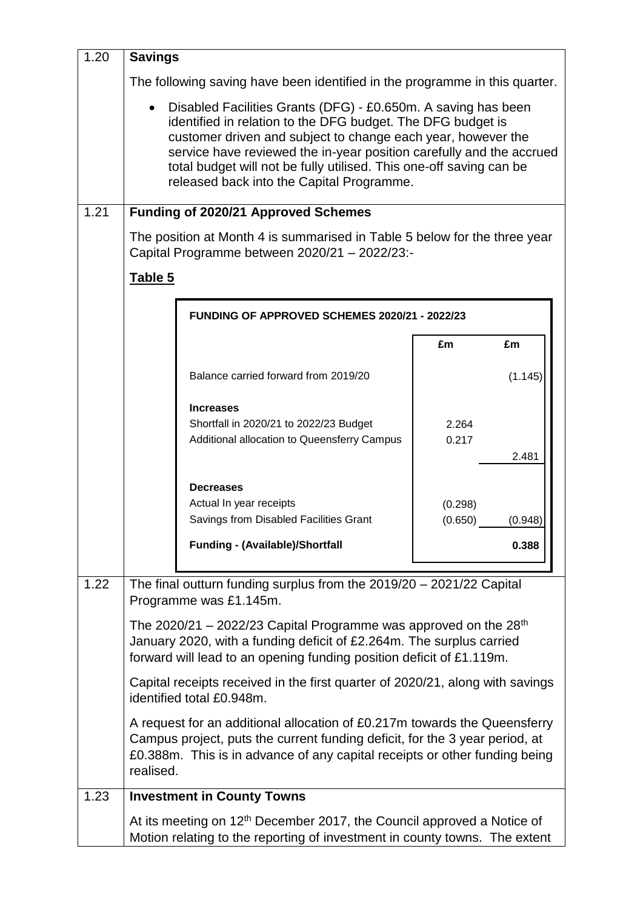| 1.20 | <b>Savings</b>                                                                                                                                                                                                                                                                                                                                                                           |                                                                                                                                                                                                                                        |                                        |  |  |  |
|------|------------------------------------------------------------------------------------------------------------------------------------------------------------------------------------------------------------------------------------------------------------------------------------------------------------------------------------------------------------------------------------------|----------------------------------------------------------------------------------------------------------------------------------------------------------------------------------------------------------------------------------------|----------------------------------------|--|--|--|
|      | The following saving have been identified in the programme in this quarter.                                                                                                                                                                                                                                                                                                              |                                                                                                                                                                                                                                        |                                        |  |  |  |
|      | Disabled Facilities Grants (DFG) - £0.650m. A saving has been<br>identified in relation to the DFG budget. The DFG budget is<br>customer driven and subject to change each year, however the<br>service have reviewed the in-year position carefully and the accrued<br>total budget will not be fully utilised. This one-off saving can be<br>released back into the Capital Programme. |                                                                                                                                                                                                                                        |                                        |  |  |  |
| 1.21 |                                                                                                                                                                                                                                                                                                                                                                                          | <b>Funding of 2020/21 Approved Schemes</b>                                                                                                                                                                                             |                                        |  |  |  |
|      |                                                                                                                                                                                                                                                                                                                                                                                          | The position at Month 4 is summarised in Table 5 below for the three year<br>Capital Programme between 2020/21 - 2022/23:-                                                                                                             |                                        |  |  |  |
|      | Table 5                                                                                                                                                                                                                                                                                                                                                                                  |                                                                                                                                                                                                                                        |                                        |  |  |  |
|      |                                                                                                                                                                                                                                                                                                                                                                                          | FUNDING OF APPROVED SCHEMES 2020/21 - 2022/23                                                                                                                                                                                          |                                        |  |  |  |
|      |                                                                                                                                                                                                                                                                                                                                                                                          |                                                                                                                                                                                                                                        | £m<br>£m                               |  |  |  |
|      |                                                                                                                                                                                                                                                                                                                                                                                          | Balance carried forward from 2019/20                                                                                                                                                                                                   | (1.145)                                |  |  |  |
|      |                                                                                                                                                                                                                                                                                                                                                                                          | <b>Increases</b><br>Shortfall in 2020/21 to 2022/23 Budget<br>Additional allocation to Queensferry Campus                                                                                                                              | 2.264<br>0.217<br>2.481                |  |  |  |
|      |                                                                                                                                                                                                                                                                                                                                                                                          | <b>Decreases</b><br>Actual In year receipts<br>Savings from Disabled Facilities Grant<br><b>Funding - (Available)/Shortfall</b>                                                                                                        | (0.298)<br>(0.650)<br>(0.948)<br>0.388 |  |  |  |
| 1.22 |                                                                                                                                                                                                                                                                                                                                                                                          | The final outturn funding surplus from the 2019/20 - 2021/22 Capital<br>Programme was £1.145m.                                                                                                                                         |                                        |  |  |  |
|      |                                                                                                                                                                                                                                                                                                                                                                                          | The 2020/21 – 2022/23 Capital Programme was approved on the $28th$<br>January 2020, with a funding deficit of £2.264m. The surplus carried<br>forward will lead to an opening funding position deficit of £1.119m.                     |                                        |  |  |  |
|      |                                                                                                                                                                                                                                                                                                                                                                                          | Capital receipts received in the first quarter of 2020/21, along with savings<br>identified total £0.948m.                                                                                                                             |                                        |  |  |  |
|      | realised.                                                                                                                                                                                                                                                                                                                                                                                | A request for an additional allocation of £0.217m towards the Queensferry<br>Campus project, puts the current funding deficit, for the 3 year period, at<br>£0.388m. This is in advance of any capital receipts or other funding being |                                        |  |  |  |
| 1.23 |                                                                                                                                                                                                                                                                                                                                                                                          | <b>Investment in County Towns</b>                                                                                                                                                                                                      |                                        |  |  |  |
|      |                                                                                                                                                                                                                                                                                                                                                                                          | At its meeting on 12 <sup>th</sup> December 2017, the Council approved a Notice of<br>Motion relating to the reporting of investment in county towns. The extent                                                                       |                                        |  |  |  |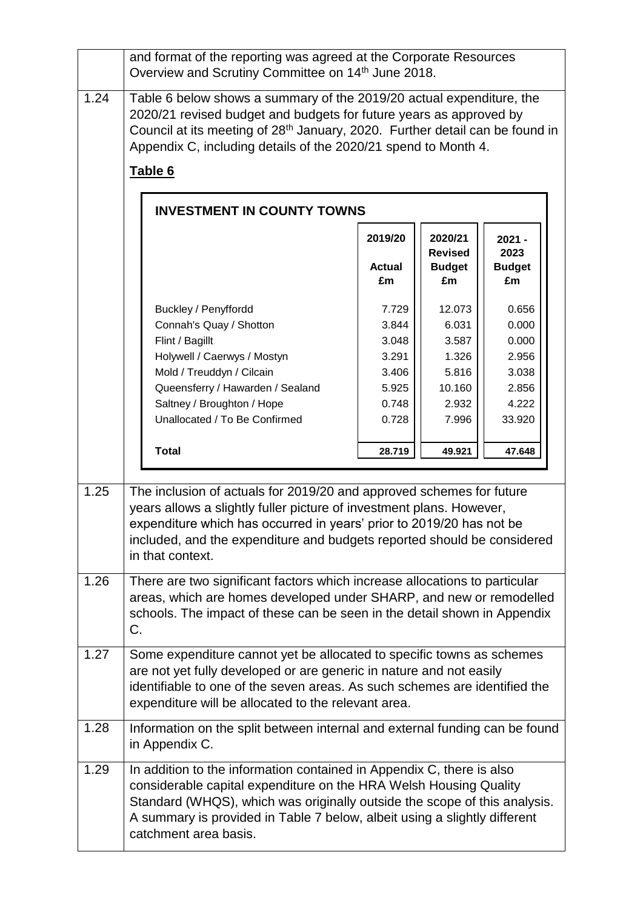|      | and format of the reporting was agreed at the Corporate Resources<br>Overview and Scrutiny Committee on 14th June 2018.                                                                                                                                                                                                       |                                                                      |                                                                        |                                                                       |  |
|------|-------------------------------------------------------------------------------------------------------------------------------------------------------------------------------------------------------------------------------------------------------------------------------------------------------------------------------|----------------------------------------------------------------------|------------------------------------------------------------------------|-----------------------------------------------------------------------|--|
| 1.24 | Table 6 below shows a summary of the 2019/20 actual expenditure, the<br>2020/21 revised budget and budgets for future years as approved by<br>Council at its meeting of 28 <sup>th</sup> January, 2020. Further detail can be found in<br>Appendix C, including details of the 2020/21 spend to Month 4.<br>Table 6           |                                                                      |                                                                        |                                                                       |  |
|      | <b>INVESTMENT IN COUNTY TOWNS</b>                                                                                                                                                                                                                                                                                             | 2019/20<br><b>Actual</b><br>£m                                       | 2020/21<br><b>Revised</b><br><b>Budget</b><br>£m                       | $2021 -$<br>2023<br><b>Budget</b><br>£m                               |  |
|      | Buckley / Penyffordd<br>Connah's Quay / Shotton<br>Flint / Bagillt<br>Holywell / Caerwys / Mostyn<br>Mold / Treuddyn / Cilcain<br>Queensferry / Hawarden / Sealand<br>Saltney / Broughton / Hope<br>Unallocated / To Be Confirmed                                                                                             | 7.729<br>3.844<br>3.048<br>3.291<br>3.406<br>5.925<br>0.748<br>0.728 | 12.073<br>6.031<br>3.587<br>1.326<br>5.816<br>10.160<br>2.932<br>7.996 | 0.656<br>0.000<br>0.000<br>2.956<br>3.038<br>2.856<br>4.222<br>33.920 |  |
|      | <b>Total</b>                                                                                                                                                                                                                                                                                                                  | 28.719                                                               | 49.921                                                                 | 47.648                                                                |  |
| 1.25 | The inclusion of actuals for 2019/20 and approved schemes for future<br>years allows a slightly fuller picture of investment plans. However,<br>expenditure which has occurred in years' prior to 2019/20 has not be<br>included, and the expenditure and budgets reported should be considered<br>in that context.           |                                                                      |                                                                        |                                                                       |  |
| 1.26 | There are two significant factors which increase allocations to particular<br>areas, which are homes developed under SHARP, and new or remodelled<br>schools. The impact of these can be seen in the detail shown in Appendix<br>C.                                                                                           |                                                                      |                                                                        |                                                                       |  |
| 1.27 | Some expenditure cannot yet be allocated to specific towns as schemes<br>are not yet fully developed or are generic in nature and not easily<br>identifiable to one of the seven areas. As such schemes are identified the<br>expenditure will be allocated to the relevant area.                                             |                                                                      |                                                                        |                                                                       |  |
| 1.28 | Information on the split between internal and external funding can be found<br>in Appendix C.                                                                                                                                                                                                                                 |                                                                      |                                                                        |                                                                       |  |
| 1.29 | In addition to the information contained in Appendix C, there is also<br>considerable capital expenditure on the HRA Welsh Housing Quality<br>Standard (WHQS), which was originally outside the scope of this analysis.<br>A summary is provided in Table 7 below, albeit using a slightly different<br>catchment area basis. |                                                                      |                                                                        |                                                                       |  |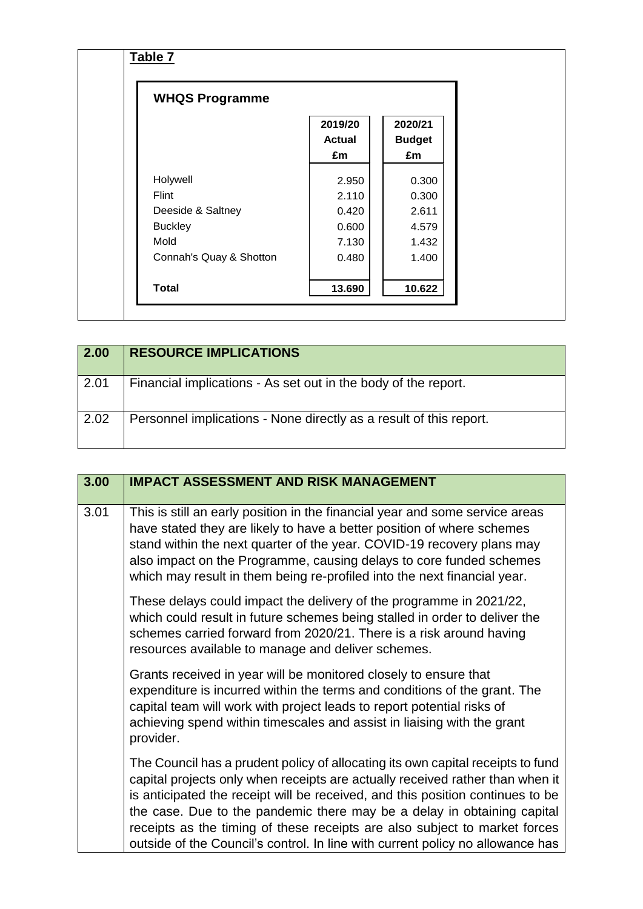| <b>WHQS Programme</b>   |                         |                                |
|-------------------------|-------------------------|--------------------------------|
|                         | 2019/20<br>Actual<br>£m | 2020/21<br><b>Budget</b><br>£m |
| Holywell                | 2.950                   | 0.300                          |
| Flint                   | 2.110                   | 0.300                          |
| Deeside & Saltney       | 0.420                   | 2.611                          |
| <b>Buckley</b>          | 0.600                   | 4.579                          |
| Mold                    | 7.130                   | 1.432                          |
| Connah's Quay & Shotton | 0.480                   | 1.400                          |
| <b>Total</b>            | 13.690                  | 10.622                         |

| 2.00 | <b>RESOURCE IMPLICATIONS</b>                                       |
|------|--------------------------------------------------------------------|
| 2.01 | Financial implications - As set out in the body of the report.     |
| 2.02 | Personnel implications - None directly as a result of this report. |

| 3.00 | <b>IMPACT ASSESSMENT AND RISK MANAGEMENT</b>                                                                                                                                                                                                                                                                                                                                                                                                                                                  |
|------|-----------------------------------------------------------------------------------------------------------------------------------------------------------------------------------------------------------------------------------------------------------------------------------------------------------------------------------------------------------------------------------------------------------------------------------------------------------------------------------------------|
| 3.01 | This is still an early position in the financial year and some service areas<br>have stated they are likely to have a better position of where schemes<br>stand within the next quarter of the year. COVID-19 recovery plans may<br>also impact on the Programme, causing delays to core funded schemes<br>which may result in them being re-profiled into the next financial year.                                                                                                           |
|      | These delays could impact the delivery of the programme in 2021/22,<br>which could result in future schemes being stalled in order to deliver the<br>schemes carried forward from 2020/21. There is a risk around having<br>resources available to manage and deliver schemes.                                                                                                                                                                                                                |
|      | Grants received in year will be monitored closely to ensure that<br>expenditure is incurred within the terms and conditions of the grant. The<br>capital team will work with project leads to report potential risks of<br>achieving spend within timescales and assist in liaising with the grant<br>provider.                                                                                                                                                                               |
|      | The Council has a prudent policy of allocating its own capital receipts to fund<br>capital projects only when receipts are actually received rather than when it<br>is anticipated the receipt will be received, and this position continues to be<br>the case. Due to the pandemic there may be a delay in obtaining capital<br>receipts as the timing of these receipts are also subject to market forces<br>outside of the Council's control. In line with current policy no allowance has |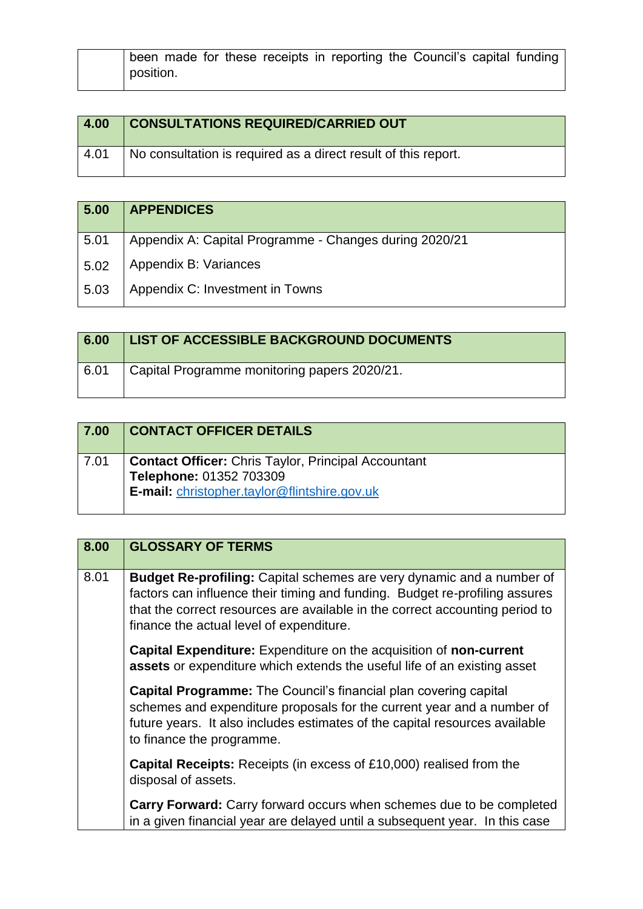| been made for these receipts in reporting the Council's capital funding |
|-------------------------------------------------------------------------|
| position.                                                               |

| 4.00 | <b>CONSULTATIONS REQUIRED/CARRIED OUT</b>                      |
|------|----------------------------------------------------------------|
| 4.01 | No consultation is required as a direct result of this report. |

| 5.00 | <b>APPENDICES</b>                                      |
|------|--------------------------------------------------------|
| 5.01 | Appendix A: Capital Programme - Changes during 2020/21 |
| 5.02 | Appendix B: Variances                                  |
| 5.03 | Appendix C: Investment in Towns                        |

| 6.00 | LIST OF ACCESSIBLE BACKGROUND DOCUMENTS      |
|------|----------------------------------------------|
| 6.01 | Capital Programme monitoring papers 2020/21. |

| $\boxed{7.00}$ | <b>CONTACT OFFICER DETAILS</b>                                                                                                        |
|----------------|---------------------------------------------------------------------------------------------------------------------------------------|
| 7.01           | <b>Contact Officer:</b> Chris Taylor, Principal Accountant<br>Telephone: 01352 703309<br>E-mail: christopher.taylor@flintshire.gov.uk |

## **8.00 GLOSSARY OF TERMS**

| 8.01 | <b>Budget Re-profiling:</b> Capital schemes are very dynamic and a number of<br>factors can influence their timing and funding. Budget re-profiling assures<br>that the correct resources are available in the correct accounting period to<br>finance the actual level of expenditure. |
|------|-----------------------------------------------------------------------------------------------------------------------------------------------------------------------------------------------------------------------------------------------------------------------------------------|
|      | <b>Capital Expenditure:</b> Expenditure on the acquisition of <b>non-current</b><br>assets or expenditure which extends the useful life of an existing asset                                                                                                                            |
|      | <b>Capital Programme:</b> The Council's financial plan covering capital<br>schemes and expenditure proposals for the current year and a number of<br>future years. It also includes estimates of the capital resources available<br>to finance the programme.                           |
|      | <b>Capital Receipts:</b> Receipts (in excess of £10,000) realised from the<br>disposal of assets.                                                                                                                                                                                       |
|      | Carry Forward: Carry forward occurs when schemes due to be completed<br>in a given financial year are delayed until a subsequent year. In this case                                                                                                                                     |